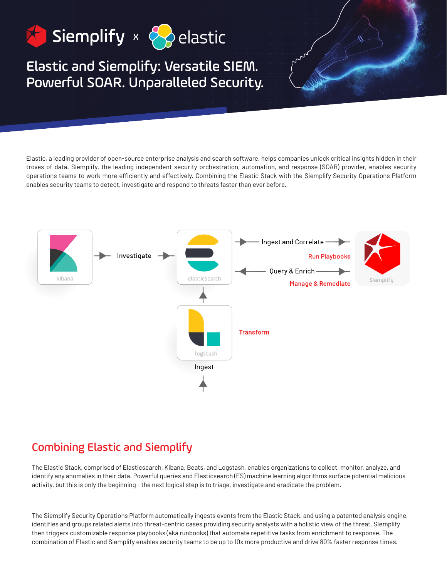

# Elastic and Siemplify: Versatile SIEM. Powerful SOAR. Unparalleled Security.

Elastic, a leading provider of open-source enterprise analysis and search software, helps companies unlock critical insights hidden in their troves of data. Siemplify, the leading independent security orchestration, automation, and response (SOAR) provider, enables security operations teams to work more efficiently and effectively. Combining the Elastic Stack with the Siemplify Security Operations Platform enables security teams to detect, investigate and respond to threats faster than ever before.



# Combining Elastic and Siemplify

The Elastic Stack, comprised of Elasticsearch, Kibana, Beats, and Logstash, enables organizations to collect, monitor, analyze, and identify any anomalies in their data. Powerful queries and Elasticsearch (ES) machine learning algorithms surface potential malicious activity, but this is only the beginning - the next logical step is to triage, investigate and eradicate the problem.

The Siemplify Security Operations Platform automatically ingests events from the Elastic Stack, and using a patented analysis engine, identifies and groups related alerts into threat-centric cases providing security analysts with a holistic view of the threat. Siemplify then triggers customizable response playbooks (aka runbooks) that automate repetitive tasks from enrichment to response. The combination of Elastic and Siemplify enables security teams to be up to 10x more productive and drive 80% faster response times.